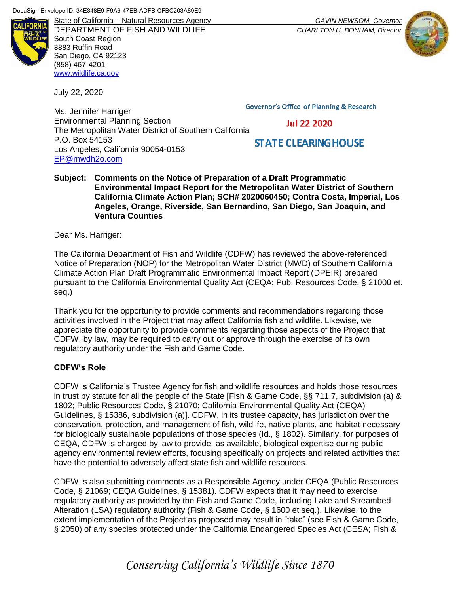

DEPARTMENT OF FISH AND WILDLIFE *CHARLTON H. BONHAM, Director* South Coast Region 3883 Ruffin Road San Diego, CA 92123 (858) 467-4201 [www.wildlife.ca.gov](file:///C:/Users/Jamie/Desktop/www.wildlife.ca.gov)

July 22, 2020

**Governor's Office of Planning & Research** 

Ms. Jennifer Harriger Environmental Planning Section The Metropolitan Water District of Southern California P.O. Box 54153 Los Angeles, California 90054-0153 [EP@mwdh2o.com](mailto:EP@mwdh2o.com)

**Jul 22 2020** 

# **STATE CLEARING HOUSE**

#### **Subject: Comments on the Notice of Preparation of a Draft Programmatic Environmental Impact Report for the Metropolitan Water District of Southern California Climate Action Plan; SCH# 2020060450; Contra Costa, Imperial, Los Angeles, Orange, Riverside, San Bernardino, San Diego, San Joaquin, and Ventura Counties**

Dear Ms. Harriger:

The California Department of Fish and Wildlife (CDFW) has reviewed the above-referenced Notice of Preparation (NOP) for the Metropolitan Water District (MWD) of Southern California Climate Action Plan Draft Programmatic Environmental Impact Report (DPEIR) prepared pursuant to the California Environmental Quality Act (CEQA; Pub. Resources Code, § 21000 et. seq.)

Thank you for the opportunity to provide comments and recommendations regarding those activities involved in the Project that may affect California fish and wildlife. Likewise, we appreciate the opportunity to provide comments regarding those aspects of the Project that CDFW, by law, may be required to carry out or approve through the exercise of its own regulatory authority under the Fish and Game Code.

# **CDFW's Role**

CDFW is California's Trustee Agency for fish and wildlife resources and holds those resources in trust by statute for all the people of the State [Fish & Game Code, §§ 711.7, subdivision (a) & 1802; Public Resources Code, § 21070; California Environmental Quality Act (CEQA) Guidelines, § 15386, subdivision (a)]. CDFW, in its trustee capacity, has jurisdiction over the conservation, protection, and management of fish, wildlife, native plants, and habitat necessary for biologically sustainable populations of those species (Id., § 1802). Similarly, for purposes of CEQA, CDFW is charged by law to provide, as available, biological expertise during public agency environmental review efforts, focusing specifically on projects and related activities that have the potential to adversely affect state fish and wildlife resources.

CDFW is also submitting comments as a Responsible Agency under CEQA (Public Resources Code, § 21069; CEQA Guidelines, § 15381). CDFW expects that it may need to exercise regulatory authority as provided by the Fish and Game Code, including Lake and Streambed Alteration (LSA) regulatory authority (Fish & Game Code, § 1600 et seq.). Likewise, to the extent implementation of the Project as proposed may result in "take" (see Fish & Game Code, § 2050) of any species protected under the California Endangered Species Act (CESA; Fish &

State of California – Natural Resources Agency *GAVIN NEWSOM, Governor*



# *Conserving California's Wildlife Since 1870*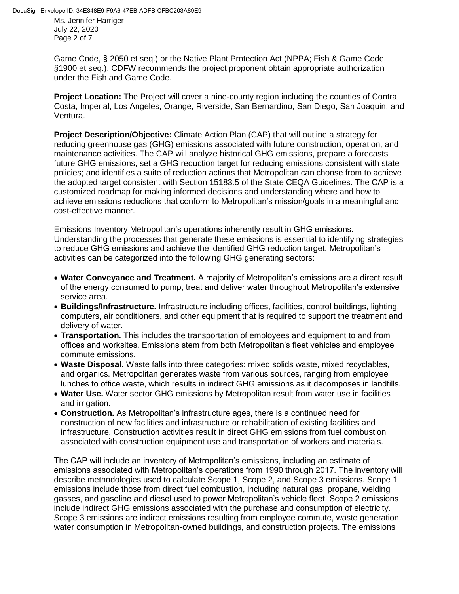Ms. Jennifer Harriger July 22, 2020 Page 2 of 7

Game Code, § 2050 et seq.) or the Native Plant Protection Act (NPPA; Fish & Game Code, §1900 et seq.), CDFW recommends the project proponent obtain appropriate authorization under the Fish and Game Code.

**Project Location:** The Project will cover a nine-county region including the counties of Contra Costa, Imperial, Los Angeles, Orange, Riverside, San Bernardino, San Diego, San Joaquin, and Ventura.

**Project Description/Objective:** Climate Action Plan (CAP) that will outline a strategy for reducing greenhouse gas (GHG) emissions associated with future construction, operation, and maintenance activities. The CAP will analyze historical GHG emissions, prepare a forecasts future GHG emissions, set a GHG reduction target for reducing emissions consistent with state policies; and identifies a suite of reduction actions that Metropolitan can choose from to achieve the adopted target consistent with Section 15183.5 of the State CEQA Guidelines. The CAP is a customized roadmap for making informed decisions and understanding where and how to achieve emissions reductions that conform to Metropolitan's mission/goals in a meaningful and cost-effective manner.

Emissions Inventory Metropolitan's operations inherently result in GHG emissions. Understanding the processes that generate these emissions is essential to identifying strategies to reduce GHG emissions and achieve the identified GHG reduction target. Metropolitan's activities can be categorized into the following GHG generating sectors:

- **Water Conveyance and Treatment.** A majority of Metropolitan's emissions are a direct result of the energy consumed to pump, treat and deliver water throughout Metropolitan's extensive service area.
- **Buildings/Infrastructure.** Infrastructure including offices, facilities, control buildings, lighting, computers, air conditioners, and other equipment that is required to support the treatment and delivery of water.
- **Transportation.** This includes the transportation of employees and equipment to and from offices and worksites. Emissions stem from both Metropolitan's fleet vehicles and employee commute emissions.
- **Waste Disposal.** Waste falls into three categories: mixed solids waste, mixed recyclables, and organics. Metropolitan generates waste from various sources, ranging from employee lunches to office waste, which results in indirect GHG emissions as it decomposes in landfills.
- **Water Use.** Water sector GHG emissions by Metropolitan result from water use in facilities and irrigation.
- **Construction.** As Metropolitan's infrastructure ages, there is a continued need for construction of new facilities and infrastructure or rehabilitation of existing facilities and infrastructure. Construction activities result in direct GHG emissions from fuel combustion associated with construction equipment use and transportation of workers and materials.

The CAP will include an inventory of Metropolitan's emissions, including an estimate of emissions associated with Metropolitan's operations from 1990 through 2017. The inventory will describe methodologies used to calculate Scope 1, Scope 2, and Scope 3 emissions. Scope 1 emissions include those from direct fuel combustion, including natural gas, propane, welding gasses, and gasoline and diesel used to power Metropolitan's vehicle fleet. Scope 2 emissions include indirect GHG emissions associated with the purchase and consumption of electricity. Scope 3 emissions are indirect emissions resulting from employee commute, waste generation, water consumption in Metropolitan-owned buildings, and construction projects. The emissions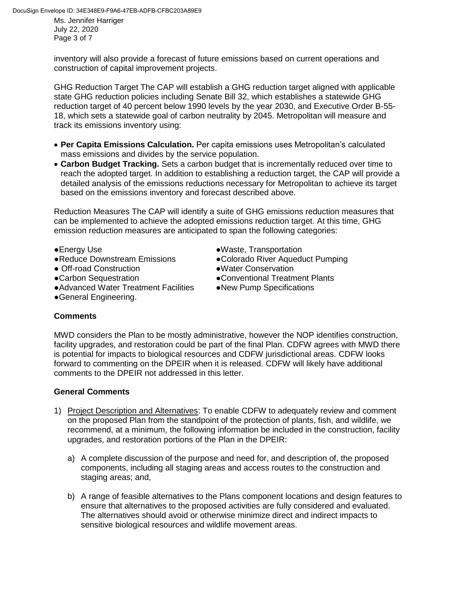Ms. Jennifer Harriger July 22, 2020 Page 3 of 7

inventory will also provide a forecast of future emissions based on current operations and construction of capital improvement projects.

GHG Reduction Target The CAP will establish a GHG reduction target aligned with applicable state GHG reduction policies including Senate Bill 32, which establishes a statewide GHG reduction target of 40 percent below 1990 levels by the year 2030, and Executive Order B-55- 18, which sets a statewide goal of carbon neutrality by 2045. Metropolitan will measure and track its emissions inventory using:

- **Per Capita Emissions Calculation.** Per capita emissions uses Metropolitan's calculated mass emissions and divides by the service population.
- **Carbon Budget Tracking.** Sets a carbon budget that is incrementally reduced over time to reach the adopted target. In addition to establishing a reduction target, the CAP will provide a detailed analysis of the emissions reductions necessary for Metropolitan to achieve its target based on the emissions inventory and forecast described above.

Reduction Measures The CAP will identify a suite of GHG emissions reduction measures that can be implemented to achieve the adopted emissions reduction target. At this time, GHG emission reduction measures are anticipated to span the following categories:

- 
- 
- Off-road Construction <br>• Water Conservation
- 
- ●Advanced Water Treatment Facilities ●New Pump Specifications
- ●Energy Use ●Waste, Transportation
- ●Reduce Downstream Emissions ●Colorado River Aqueduct Pumping
	-
- ●Carbon Sequestration ●Conventional Treatment Plants
	-

●General Engineering.

# **Comments**

MWD considers the Plan to be mostly administrative, however the NOP identifies construction, facility upgrades, and restoration could be part of the final Plan. CDFW agrees with MWD there is potential for impacts to biological resources and CDFW jurisdictional areas. CDFW looks forward to commenting on the DPEIR when it is released. CDFW will likely have additional comments to the DPEIR not addressed in this letter.

#### **General Comments**

- 1) Project Description and Alternatives: To enable CDFW to adequately review and comment on the proposed Plan from the standpoint of the protection of plants, fish, and wildlife, we recommend, at a minimum, the following information be included in the construction, facility upgrades, and restoration portions of the Plan in the DPEIR:
	- a) A complete discussion of the purpose and need for, and description of, the proposed components, including all staging areas and access routes to the construction and staging areas; and,
	- b) A range of feasible alternatives to the Plans component locations and design features to ensure that alternatives to the proposed activities are fully considered and evaluated. The alternatives should avoid or otherwise minimize direct and indirect impacts to sensitive biological resources and wildlife movement areas.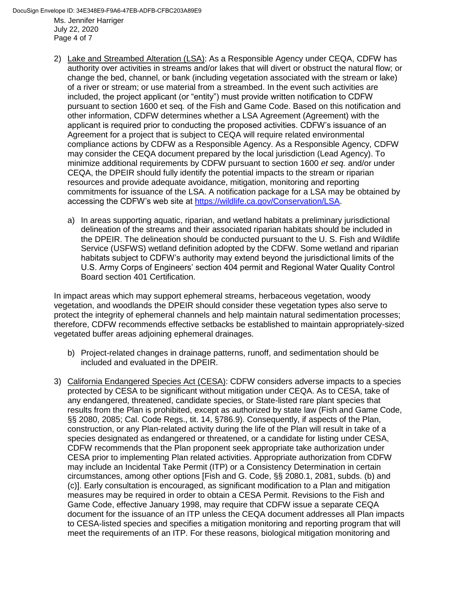DocuSign Envelope ID: 34E348E9-F9A6-47EB-ADFB-CFBC203A89E9

Ms. Jennifer Harriger July 22, 2020 Page 4 of 7

- 2) Lake and Streambed Alteration (LSA): As a Responsible Agency under CEQA, CDFW has authority over activities in streams and/or lakes that will divert or obstruct the natural flow; or change the bed, channel, or bank (including vegetation associated with the stream or lake) of a river or stream; or use material from a streambed. In the event such activities are included, the project applicant (or "entity") must provide written notification to CDFW pursuant to section 1600 et seq*.* of the Fish and Game Code. Based on this notification and other information, CDFW determines whether a LSA Agreement (Agreement) with the applicant is required prior to conducting the proposed activities. CDFW's issuance of an Agreement for a project that is subject to CEQA will require related environmental compliance actions by CDFW as a Responsible Agency. As a Responsible Agency, CDFW may consider the CEQA document prepared by the local jurisdiction (Lead Agency). To minimize additional requirements by CDFW pursuant to section 1600 *et seq.* and/or under CEQA, the DPEIR should fully identify the potential impacts to the stream or riparian resources and provide adequate avoidance, mitigation, monitoring and reporting commitments for issuance of the LSA. A notification package for a LSA may be obtained by accessing the CDFW's web site at [https://wildlife.ca.gov/Conservation/LSA.](https://wildlife.ca.gov/Conservation/LSA)
	- a) In areas supporting aquatic, riparian, and wetland habitats a preliminary jurisdictional delineation of the streams and their associated riparian habitats should be included in the DPEIR. The delineation should be conducted pursuant to the U. S. Fish and Wildlife Service (USFWS) wetland definition adopted by the CDFW. Some wetland and riparian habitats subject to CDFW's authority may extend beyond the jurisdictional limits of the U.S. Army Corps of Engineers' section 404 permit and Regional Water Quality Control Board section 401 Certification.

In impact areas which may support ephemeral streams, herbaceous vegetation, woody vegetation, and woodlands the DPEIR should consider these vegetation types also serve to protect the integrity of ephemeral channels and help maintain natural sedimentation processes; therefore, CDFW recommends effective setbacks be established to maintain appropriately-sized vegetated buffer areas adjoining ephemeral drainages.

- b) Project-related changes in drainage patterns, runoff, and sedimentation should be included and evaluated in the DPEIR.
- 3) California Endangered Species Act (CESA): CDFW considers adverse impacts to a species protected by CESA to be significant without mitigation under CEQA. As to CESA, take of any endangered, threatened, candidate species, or State-listed rare plant species that results from the Plan is prohibited, except as authorized by state law (Fish and Game Code, §§ 2080, 2085; Cal. Code Regs., tit. 14, §786.9). Consequently, if aspects of the Plan, construction, or any Plan-related activity during the life of the Plan will result in take of a species designated as endangered or threatened, or a candidate for listing under CESA, CDFW recommends that the Plan proponent seek appropriate take authorization under CESA prior to implementing Plan related activities. Appropriate authorization from CDFW may include an Incidental Take Permit (ITP) or a Consistency Determination in certain circumstances, among other options [Fish and G. Code, §§ 2080.1, 2081, subds. (b) and (c)]. Early consultation is encouraged, as significant modification to a Plan and mitigation measures may be required in order to obtain a CESA Permit. Revisions to the Fish and Game Code, effective January 1998, may require that CDFW issue a separate CEQA document for the issuance of an ITP unless the CEQA document addresses all Plan impacts to CESA-listed species and specifies a mitigation monitoring and reporting program that will meet the requirements of an ITP. For these reasons, biological mitigation monitoring and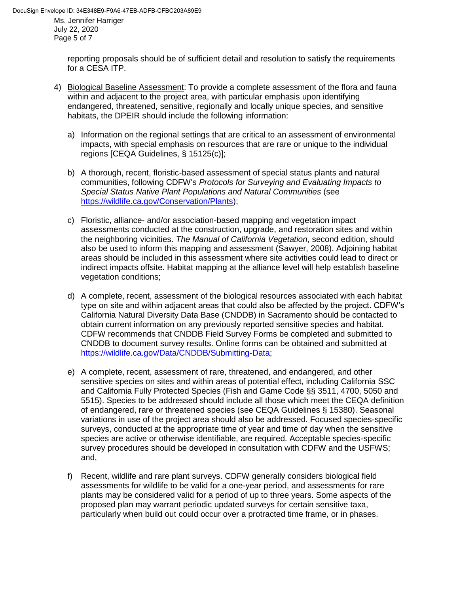Ms. Jennifer Harriger July 22, 2020 Page 5 of 7

> reporting proposals should be of sufficient detail and resolution to satisfy the requirements for a CESA ITP.

- 4) Biological Baseline Assessment: To provide a complete assessment of the flora and fauna within and adjacent to the project area, with particular emphasis upon identifying endangered, threatened, sensitive, regionally and locally unique species, and sensitive habitats, the DPEIR should include the following information:
	- a) Information on the regional settings that are critical to an assessment of environmental impacts, with special emphasis on resources that are rare or unique to the individual regions [CEQA Guidelines, § 15125(c)];
	- b) A thorough, recent, floristic-based assessment of special status plants and natural communities, following CDFW's *Protocols for Surveying and Evaluating Impacts to Special Status Native Plant Populations and Natural Communities* (see [https://wildlife.ca.gov/Conservation/Plants\)](https://wildlife.ca.gov/Conservation/Plants);
	- c) Floristic, alliance- and/or association-based mapping and vegetation impact assessments conducted at the construction, upgrade, and restoration sites and within the neighboring vicinities. *The Manual of California Vegetation*, second edition, should also be used to inform this mapping and assessment (Sawyer, 2008). Adjoining habitat areas should be included in this assessment where site activities could lead to direct or indirect impacts offsite. Habitat mapping at the alliance level will help establish baseline vegetation conditions;
	- d) A complete, recent, assessment of the biological resources associated with each habitat type on site and within adjacent areas that could also be affected by the project. CDFW's California Natural Diversity Data Base (CNDDB) in Sacramento should be contacted to obtain current information on any previously reported sensitive species and habitat. CDFW recommends that CNDDB Field Survey Forms be completed and submitted to CNDDB to document survey results. Online forms can be obtained and submitted at [https://wildlife.ca.gov/Data/CNDDB/Submitting-Data;](https://wildlife.ca.gov/Data/CNDDB/Submitting-Data)
	- e) A complete, recent, assessment of rare, threatened, and endangered, and other sensitive species on sites and within areas of potential effect, including California SSC and California Fully Protected Species (Fish and Game Code §§ 3511, 4700, 5050 and 5515). Species to be addressed should include all those which meet the CEQA definition of endangered, rare or threatened species (see CEQA Guidelines § 15380). Seasonal variations in use of the project area should also be addressed. Focused species-specific surveys, conducted at the appropriate time of year and time of day when the sensitive species are active or otherwise identifiable, are required. Acceptable species-specific survey procedures should be developed in consultation with CDFW and the USFWS; and,
	- f) Recent, wildlife and rare plant surveys. CDFW generally considers biological field assessments for wildlife to be valid for a one-year period, and assessments for rare plants may be considered valid for a period of up to three years. Some aspects of the proposed plan may warrant periodic updated surveys for certain sensitive taxa, particularly when build out could occur over a protracted time frame, or in phases.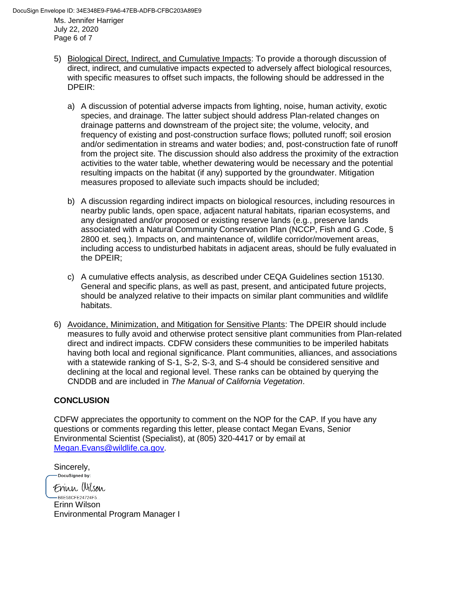July 22, 2020 Page 6 of 7

- 5) Biological Direct, Indirect, and Cumulative Impacts: To provide a thorough discussion of direct, indirect, and cumulative impacts expected to adversely affect biological resources, with specific measures to offset such impacts, the following should be addressed in the DPEIR:
	- a) A discussion of potential adverse impacts from lighting, noise, human activity, exotic species, and drainage. The latter subject should address Plan-related changes on drainage patterns and downstream of the project site; the volume, velocity, and frequency of existing and post-construction surface flows; polluted runoff; soil erosion and/or sedimentation in streams and water bodies; and, post-construction fate of runoff from the project site. The discussion should also address the proximity of the extraction activities to the water table, whether dewatering would be necessary and the potential resulting impacts on the habitat (if any) supported by the groundwater. Mitigation measures proposed to alleviate such impacts should be included;
	- b) A discussion regarding indirect impacts on biological resources, including resources in nearby public lands, open space, adjacent natural habitats, riparian ecosystems, and any designated and/or proposed or existing reserve lands (e.g*.*, preserve lands associated with a Natural Community Conservation Plan (NCCP, Fish and G .Code, § 2800 et. seq.). Impacts on, and maintenance of, wildlife corridor/movement areas, including access to undisturbed habitats in adjacent areas, should be fully evaluated in the DPEIR;
	- c) A cumulative effects analysis, as described under CEQA Guidelines section 15130. General and specific plans, as well as past, present, and anticipated future projects, should be analyzed relative to their impacts on similar plant communities and wildlife habitats.
- 6) Avoidance, Minimization, and Mitigation for Sensitive Plants: The DPEIR should include measures to fully avoid and otherwise protect sensitive plant communities from Plan-related direct and indirect impacts. CDFW considers these communities to be imperiled habitats having both local and regional significance. Plant communities, alliances, and associations with a statewide ranking of S-1, S-2, S-3, and S-4 should be considered sensitive and declining at the local and regional level. These ranks can be obtained by querying the CNDDB and are included in *The Manual of California Vegetation*.

# **CONCLUSION**

Sincerely,

CDFW appreciates the opportunity to comment on the NOP for the CAP. If you have any questions or comments regarding this letter, please contact Megan Evans, Senior Environmental Scientist (Specialist), at (805) 320-4417 or by email at [Megan.Evans@wildlife.ca.gov.](mailto:Megan.Evans@wildlife.ca.gov)

-DocuSigned by: Frinn Wilson -B6E58CFE24724F5... Erinn Wilson Environmental Program Manager I